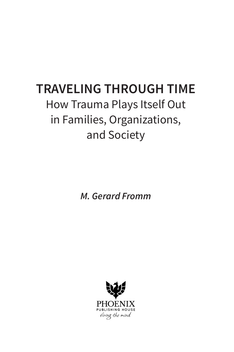# **TRAVELING THROUGH TIME** How Trauma Plays Itself Out in Families, Organizations, and Society

*M. Gerard Fromm*

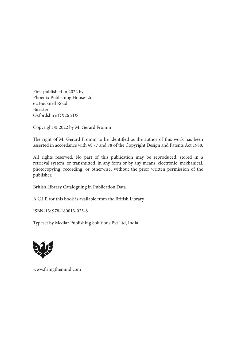First published in 2022 by Phoenix Publishing House Ltd 62 Bucknell Road Bicester Oxfordshire OX26 2DS

Copyright © 2022 by M. Gerard Fromm

The right of M. Gerard Fromm to be identified as the author of this work has been asserted in accordance with §§ 77 and 78 of the Copyright Design and Patents Act 1988.

All rights reserved. No part of this publication may be reproduced, stored in a retrieval system, or transmitted, in any form or by any means, electronic, mechanical, photocopying, recording, or otherwise, without the prior written permission of the publisher.

British Library Cataloguing in Publication Data

A C.I.P. for this book is available from the British Library

ISBN-13: 978-180013-025-8

Typeset by Medlar Publishing Solutions Pvt Ltd, India



www.firingthemind.com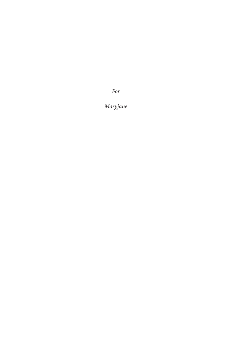*For*

*Maryjane*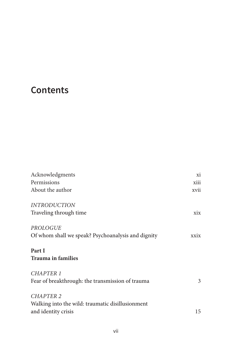## **Contents**

| Acknowledgments                                    | Xİ.  |
|----------------------------------------------------|------|
| Permissions                                        | xiii |
| About the author                                   | xvii |
| <b>INTRODUCTION</b>                                |      |
| Traveling through time                             | xix  |
| PROLOGUE                                           |      |
| Of whom shall we speak? Psychoanalysis and dignity | xxix |
| Part I<br>Trauma in families                       |      |
| <b>CHAPTER 1</b>                                   |      |
| Fear of breakthrough: the transmission of trauma   | 3    |
| <b>CHAPTER 2</b>                                   |      |
| Walking into the wild: traumatic disillusionment   |      |
| and identity crisis                                | 15   |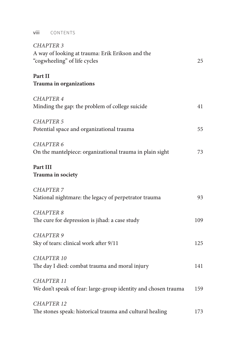viii CONTENTS

| <b>CHAPTER 3</b>                                                                 |     |
|----------------------------------------------------------------------------------|-----|
| A way of looking at trauma: Erik Erikson and the<br>"cogwheeling" of life cycles | 25  |
|                                                                                  |     |
| Part II                                                                          |     |
| Trauma in organizations                                                          |     |
| <b>CHAPTER 4</b>                                                                 |     |
| Minding the gap: the problem of college suicide                                  | 41  |
| <b>CHAPTER 5</b>                                                                 |     |
| Potential space and organizational trauma                                        | 55  |
| <b>CHAPTER 6</b>                                                                 |     |
| On the mantelpiece: organizational trauma in plain sight                         | 73  |
| Part III                                                                         |     |
| Trauma in society                                                                |     |
| <b>CHAPTER 7</b>                                                                 |     |
| National nightmare: the legacy of perpetrator trauma                             | 93  |
| <b>CHAPTER 8</b>                                                                 |     |
| The cure for depression is jihad: a case study                                   | 109 |
| <b>CHAPTER 9</b>                                                                 |     |
| Sky of tears: clinical work after 9/11                                           | 125 |
| <b>CHAPTER 10</b>                                                                |     |
| The day I died: combat trauma and moral injury                                   | 141 |
| <b>CHAPTER 11</b>                                                                |     |
| We don't speak of fear: large-group identity and chosen trauma                   | 159 |
| <b>CHAPTER 12</b>                                                                |     |
| The stones speak: historical trauma and cultural healing                         | 173 |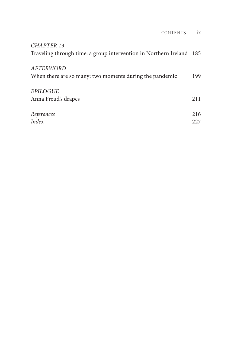| CONTENTS                                                             | ix  |
|----------------------------------------------------------------------|-----|
| CHAPTER 13                                                           |     |
| Traveling through time: a group intervention in Northern Ireland 185 |     |
| AFTERWORD                                                            |     |
| When there are so many: two moments during the pandemic              | 199 |
| <b>EPILOGUE</b>                                                      |     |
| Anna Freud's drapes                                                  | 211 |
| References                                                           | 216 |
| Index                                                                | 227 |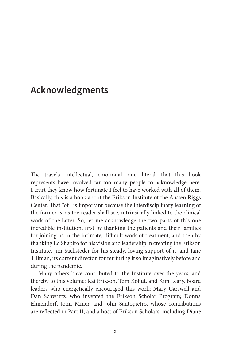#### **Acknowledgments**

The travels—intellectual, emotional, and literal—that this book represents have involved far too many people to acknowledge here. I trust they know how fortunate I feel to have worked with all of them. Basically, this is a book about the Erikson Institute of the Austen Riggs Center. That "of" is important because the interdisciplinary learning of the former is, as the reader shall see, intrinsically linked to the clinical work of the latter. So, let me acknowledge the two parts of this one incredible institution, first by thanking the patients and their families for joining us in the intimate, difficult work of treatment, and then by thanking Ed Shapiro for his vision and leadership in creating the Erikson Institute, Jim Sacksteder for his steady, loving support of it, and Jane Tillman, its current director, for nurturing it so imaginatively before and during the pandemic.

Many others have contributed to the Institute over the years, and thereby to this volume: Kai Erikson, Tom Kohut, and Kim Leary, board leaders who energetically encouraged this work; Mary Carswell and Dan Schwartz, who invented the Erikson Scholar Program; Donna Elmendorf, John Miner, and John Santopietro, whose contributions are reflected in Part II; and a host of Erikson Scholars, including Diane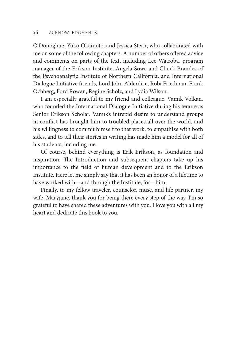O'Donoghue, Yuko Okamoto, and Jessica Stern, who collaborated with me on some of the following chapters. A number of others offered advice and comments on parts of the text, including Lee Watroba, program manager of the Erikson Institute, Angela Sowa and Chuck Brandes of the Psychoanalytic Institute of Northern California, and International Dialogue Initiative friends, Lord John Alderdice, Robi Friedman, Frank Ochberg, Ford Rowan, Regine Scholz, and Lydia Wilson.

I am especially grateful to my friend and colleague, Vamık Volkan, who founded the International Dialogue Initiative during his tenure as Senior Erikson Scholar. Vamık's intrepid desire to understand groups in conflict has brought him to troubled places all over the world, and his willingness to commit himself to that work, to empathize with both sides, and to tell their stories in writing has made him a model for all of his students, including me.

Of course, behind everything is Erik Erikson, as foundation and inspiration. The Introduction and subsequent chapters take up his importance to the field of human development and to the Erikson Institute. Here let me simply say that it has been an honor of a lifetime to have worked with—and through the Institute, for—him.

Finally, to my fellow traveler, counselor, muse, and life partner, my wife, Maryjane, thank you for being there every step of the way. I'm so grateful to have shared these adventures with you. I love you with all my heart and dedicate this book to you.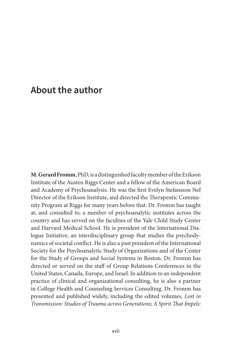### **About the author**

**M. Gerard Fromm**, PhD, is a distinguished faculty member of the Erikson Institute of the Austen Riggs Center and a fellow of the American Board and Academy of Psychoanalysis. He was the first Evelyn Stefansson Nef Director of the Erikson Institute, and directed the Therapeutic Community Program at Riggs for many years before that. Dr. Fromm has taught at, and consulted to, a number of psychoanalytic institutes across the country and has served on the faculties of the Yale Child Study Center and Harvard Medical School. He is president of the International Dialogue Initiative, an interdisciplinary group that studies the psychodynamics of societal conflict. He is also a past president of the International Society for the Psychoanalytic Study of Organizations and of the Center for the Study of Groups and Social Systems in Boston. Dr. Fromm has directed or served on the staff of Group Relations Conferences in the United States, Canada, Europe, and Israel. In addition to an independent practice of clinical and organizational consulting, he is also a partner in College Health and Counseling Services Consulting. Dr. Fromm has presented and published widely, including the edited volumes, *Lost in Transmission: Studies of Trauma across Generations; A Spirit That Impels:*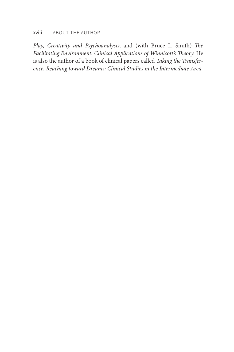#### xviii ABOUT THE AUTHOR

*Play, Creativity and Psychoanalysis*; and (with Bruce L. Smith) The *Facilitating Environment: Clinical Applications of Winnicott's Theory. He* is also the author of a book of clinical papers called *Taking the Transference, Reaching toward Dreams: Clinical Studies in the Intermediate Area.*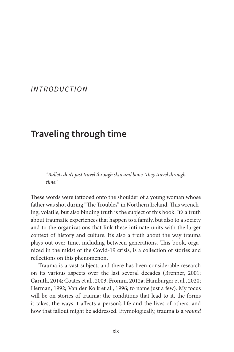#### *INTRODUCTION*

### **Traveling through time**

*"Bullets don't just travel through skin and bone.* !*ey travel through time."*

These words were tattooed onto the shoulder of a young woman whose father was shot during "The Troubles" in Northern Ireland. This wrenching, volatile, but also binding truth is the subject of this book. It's a truth about traumatic experiences that happen to a family, but also to a society and to the organizations that link these intimate units with the larger context of history and culture. It's also a truth about the way trauma plays out over time, including between generations. This book, organized in the midst of the Covid-19 crisis, is a collection of stories and reflections on this phenomenon.

Trauma is a vast subject, and there has been considerable research on its various aspects over the last several decades (Brenner, 2001; Caruth, 2014; Coates et al., 2003; Fromm, 2012a; Hamburger et al., 2020; Herman, 1992; Van der Kolk et al., 1996; to name just a few). My focus will be on stories of trauma: the conditions that lead to it, the forms it takes, the ways it affects a person's life and the lives of others, and how that fallout might be addressed. Etymologically, trauma is a *wound*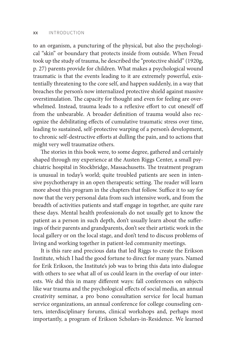to an organism, a puncturing of the physical, but also the psychological "skin" or boundary that protects inside from outside. When Freud took up the study of trauma, he described the "protective shield" (1920g, p. 27) parents provide for children. What makes a psychological wound traumatic is that the events leading to it are extremely powerful, existentially threatening to the core self, and happen suddenly, in a way that breaches the person's now internalized protective shield against massive overstimulation. The capacity for thought and even for feeling are overwhelmed. Instead, trauma leads to a reflexive effort to cut oneself off from the unbearable. A broader definition of trauma would also recognize the debilitating effects of cumulative traumatic stress over time, leading to sustained, self-protective warping of a person's development, to chronic self-destructive efforts at dulling the pain, and to actions that might very well traumatize others.

The stories in this book were, to some degree, gathered and certainly shaped through my experience at the Austen Riggs Center, a small psychiatric hospital in Stockbridge, Massachusetts. The treatment program is unusual in today's world; quite troubled patients are seen in intensive psychotherapy in an open therapeutic setting. The reader will learn more about this program in the chapters that follow. Suffice it to say for now that the very personal data from such intensive work, and from the breadth of activities patients and staff engage in together, are quite rare these days. Mental health professionals do not usually get to know the patient as a person in such depth, don't usually learn about the sufferings of their parents and grandparents, don't see their artistic work in the local gallery or on the local stage, and don't tend to discuss problems of living and working together in patient-led community meetings.

It is this rare and precious data that led Riggs to create the Erikson Institute, which I had the good fortune to direct for many years. Named for Erik Erikson, the Institute's job was to bring this data into dialogue with others to see what all of us could learn in the overlap of our interests. We did this in many different ways: fall conferences on subjects like war trauma and the psychological effects of social media, an annual creativity seminar, a pro bono consultation service for local human service organizations, an annual conference for college counseling centers, interdisciplinary forums, clinical workshops and, perhaps most importantly, a program of Erikson Scholars-in-Residence. We learned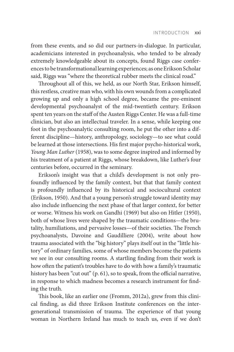from these events, and so did our partners-in-dialogue. In particular, academicians interested in psychoanalysis, who tended to be already extremely knowledgeable about its concepts, found Riggs case conferences to be transformational learning experiences; as one Erikson Scholar said, Riggs was "where the theoretical rubber meets the clinical road."

Throughout all of this, we held, as our North Star, Erikson himself, this restless, creative man who, with his own wounds from a complicated growing up and only a high school degree, became the pre-eminent developmental psychoanalyst of the mid-twentieth century. Erikson spent ten years on the staff of the Austen Riggs Center. He was a full-time clinician, but also an intellectual traveler. In a sense, while keeping one foot in the psychoanalytic consulting room, he put the other into a different discipline—history, anthropology, sociology—to see what could be learned at those intersections. His first major psycho-historical work, *Young Man Luther* (1958), was to some degree inspired and informed by his treatment of a patient at Riggs, whose breakdown, like Luther's four centuries before, occurred in the seminary.

Erikson's insight was that a child's development is not only profoundly influenced by the family context, but that that family context is profoundly influenced by its historical and sociocultural context (Erikson, 1950). And that a young person's struggle toward identity may also include influencing the next phase of that larger context, for better or worse. Witness his work on Gandhi (1969) but also on Hitler (1950), both of whose lives were shaped by the traumatic conditions—the brutality, humiliations, and pervasive losses—of their societies. The French psychoanalysts, Davoine and Gaudilliere (2004), write about how trauma associated with the "big history" plays itself out in the "little history" of ordinary families, some of whose members become the patients we see in our consulting rooms. A startling finding from their work is how often the patient's troubles have to do with how a family's traumatic history has been "cut out" (p. 61), so to speak, from the official narrative, in response to which madness becomes a research instrument for finding the truth.

This book, like an earlier one (Fromm, 2012a), grew from this clinical finding, as did three Erikson Institute conferences on the intergenerational transmission of trauma. The experience of that young woman in Northern Ireland has much to teach us, even if we don't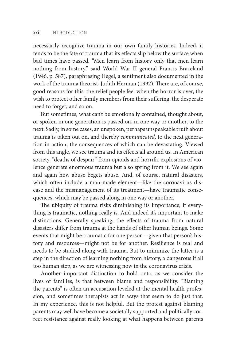necessarily recognize trauma in our own family histories. Indeed, it tends to be the fate of trauma that its effects slip below the surface when bad times have passed. "Men learn from history only that men learn nothing from history," said World War II general Francis Braceland (1946, p. 587), paraphrasing Hegel, a sentiment also documented in the work of the trauma theorist, Judith Herman (1992). There are, of course, good reasons for this: the relief people feel when the horror is over, the wish to protect other family members from their suffering, the desperate need to forget, and so on.

But sometimes, what can't be emotionally contained, thought about, or spoken in one generation is passed on, in one way or another, to the next. Sadly, in some cases, an unspoken, perhaps unspeakable truth about trauma is taken out on, and thereby *communicated*, to the next generation in action, the consequences of which can be devastating. Viewed from this angle, we see trauma and its effects all around us. In American society, "deaths of despair" from opioids and horrific explosions of violence generate enormous trauma but also spring from it. We see again and again how abuse begets abuse. And, of course, natural disasters, which often include a man-made element-like the coronavirus disease and the mismanagement of its treatment—have traumatic consequences, which may be passed along in one way or another.

The ubiquity of trauma risks diminishing its importance; if everything is traumatic, nothing really is. And indeed it's important to make distinctions. Generally speaking, the effects of trauma from natural disasters differ from trauma at the hands of other human beings. Some events that might be traumatic for one person—given that person's history and resources—might not be for another. Resilience is real and needs to be studied along with trauma. But to minimize the latter is a step in the direction of learning nothing from history, a dangerous if all too human step, as we are witnessing now in the coronavirus crisis.

Another important distinction to hold onto, as we consider the lives of families, is that between blame and responsibility. "Blaming the parents" is often an accusation leveled at the mental health profession, and sometimes therapists act in ways that seem to do just that. In my experience, this is not helpful. But the protest against blaming parents may well have become a societally supported and politically correct resistance against really looking at what happens between parents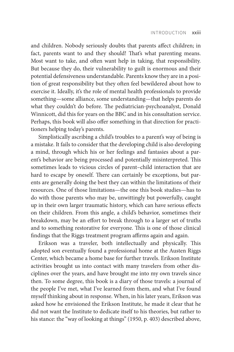and children. Nobody seriously doubts that parents affect children; in fact, parents want to and they should! That's what parenting means. Most want to take, and often want help in taking, that responsibility. But because they do, their vulnerability to guilt is enormous and their potential defensiveness understandable. Parents know they are in a position of great responsibility but they often feel bewildered about how to exercise it. Ideally, it's the role of mental health professionals to provide something—some alliance, some understanding—that helps parents do what they couldn't do before. The pediatrician-psychoanalyst, Donald Winnicott, did this for years on the BBC and in his consultation service. Perhaps, this book will also offer something in that direction for practitioners helping today's parents.

Simplistically ascribing a child's troubles to a parent's way of being is a mistake. It fails to consider that the developing child is also developing a mind, through which his or her feelings and fantasies about a parent's behavior are being processed and potentially misinterpreted. This sometimes leads to vicious circles of parent–child interaction that are hard to escape by oneself. There can certainly be exceptions, but parents are generally doing the best they can within the limitations of their resources. One of those limitations—the one this book studies—has to do with those parents who may be, unwittingly but powerfully, caught up in their own larger traumatic history, which can have serious effects on their children. From this angle, a child's behavior, sometimes their breakdown, may be an effort to break through to a larger set of truths and to something restorative for everyone. This is one of those clinical findings that the Riggs treatment program affirms again and again.

Erikson was a traveler, both intellectually and physically. This adopted son eventually found a professional home at the Austen Riggs Center, which became a home base for further travels. Erikson Institute activities brought us into contact with many travelers from other disciplines over the years, and have brought me into my own travels since then. To some degree, this book is a diary of those travels: a journal of the people I've met, what I've learned from them, and what I've found myself thinking about in response. When, in his later years, Erikson was asked how he envisioned the Erikson Institute, he made it clear that he did not want the Institute to dedicate itself to his theories, but rather to his stance: the "way of looking at things" (1950, p. 403) described above,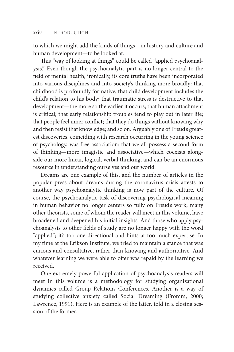to which we might add the kinds of things—in history and culture and human development—to be looked at.

This "way of looking at things" could be called "applied psychoanalysis." Even though the psychoanalytic part is no longer central to the field of mental health, ironically, its core truths have been incorporated into various disciplines and into society's thinking more broadly: that childhood is profoundly formative; that child development includes the child's relation to his body; that traumatic stress is destructive to that development—the more so the earlier it occurs; that human attachment is critical; that early relationship troubles tend to play out in later life; that people feel inner conflict; that they do things without knowing why and then resist that knowledge; and so on. Arguably one of Freud's greatest discoveries, coinciding with research occurring in the young science of psychology, was free association: that we all possess a second form of thinking—more imagistic and associative—which coexists alongside our more linear, logical, verbal thinking, and can be an enormous resource in understanding ourselves and our world.

Dreams are one example of this, and the number of articles in the popular press about dreams during the coronavirus crisis attests to another way psychoanalytic thinking is now part of the culture. Of course, the psychoanalytic task of discovering psychological meaning in human behavior no longer centers so fully on Freud's work; many other theorists, some of whom the reader will meet in this volume, have broadened and deepened his initial insights. And those who apply psychoanalysis to other fields of study are no longer happy with the word "applied"; it's too one-directional and hints at too much expertise. In my time at the Erikson Institute, we tried to maintain a stance that was curious and consultative, rather than knowing and authoritative. And whatever learning we were able to offer was repaid by the learning we received.

One extremely powerful application of psychoanalysis readers will meet in this volume is a methodology for studying organizational dynamics called Group Relations Conferences. Another is a way of studying collective anxiety called Social Dreaming (Fromm, 2000; Lawrence, 1991). Here is an example of the latter, told in a closing session of the former.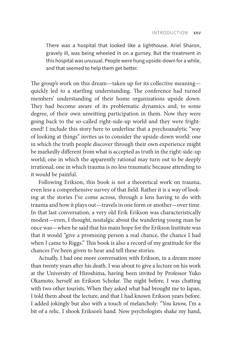There was a hospital that looked like a lighthouse. Ariel Sharon, gravely ill, was being wheeled in on a gurney. But the treatment in this hospital was unusual. People were hung upside-down for a while, and that seemed to help them get better.

The group's work on this dream—taken up for its collective meaning quickly led to a startling understanding. The conference had turned members' understanding of their home organizations upside down. They had become aware of its problematic dynamics and, to some degree, of their own unwitting participation in them. Now they were going back to the so-called right-side-up world and they were frightened! I include this story here to underline that a psychoanalytic "way of looking at things" invites us to consider the upside-down world: one in which the truth people discover through their own experience might be markedly different from what is accepted as truth in the right-side-up world; one in which the apparently rational may turn out to be deeply irrational; one in which trauma is no less traumatic because attending to it would be painful.

Following Erikson, this book is not a theoretical work on trauma, even less a comprehensive survey of that field. Rather it is a way of looking at the stories I've come across, through a lens having to do with trauma and how it plays out—travels in one form or another—over time. In that last conversation, a very old Erik Erikson was characteristically modest—even, I thought, nostalgic about the wandering young man he once was—when he said that his main hope for the Erikson Institute was that it would "give a promising person a real chance, the chance I had when I came to Riggs." This book is also a record of my gratitude for the chances I've been given to hear and tell these stories.

Actually, I had one more conversation with Erikson, in a dream more than twenty years after his death. I was about to give a lecture on his work at the University of Hiroshima, having been invited by Professor Yuko Okamoto, herself an Erikson Scholar. The night before, I was chatting with two other tourists. When they asked what had brought me to Japan, I told them about the lecture, and that I had known Erikson years before. I added jokingly but also with a touch of melancholy: "You know, I'm a bit of a relic. I shook Erikson's hand. Now psychologists shake my hand,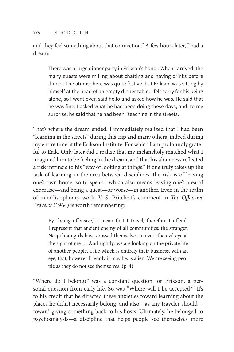and they feel something about that connection." A few hours later, I had a dream:

There was a large dinner party in Erikson's honor. When I arrived, the many guests were milling about chatting and having drinks before dinner. The atmosphere was quite festive, but Erikson was sitting by himself at the head of an empty dinner table. I felt sorry for his being alone, so I went over, said hello and asked how he was. He said that he was fine. I asked what he had been doing these days, and, to my surprise, he said that he had been "teaching in the streets."

That's where the dream ended. I immediately realized that I had been "learning in the streets" during this trip and many others, indeed during my entire time at the Erikson Institute. For which I am profoundly grateful to Erik. Only later did I realize that my melancholy matched what I imagined him to be feeling in the dream, and that his aloneness reflected a risk intrinsic to his "way of looking at things." If one truly takes up the task of learning in the area between disciplines, the risk is of leaving one's own home, so to speak—which also means leaving one's area of expertise—and being a guest—or worse—in another. Even in the realm of interdisciplinary work, V. S. Pritchett's comment in *The Offensive Traveler* (1964) is worth remembering:

By "being offensive," I mean that I travel, therefore I offend. I represent that ancient enemy of all communities: the stranger. Neapolitan girls have crossed themselves to avert the evil eye at the sight of me … And rightly: we are looking on the private life of another people, a life which is entirely their business, with an eye, that, however friendly it may be, is alien. We are seeing people as they do not see themselves. (p. 4)

"Where do I belong?" was a constant question for Erikson, a personal question from early life. So was "Where will I be accepted?" It's to his credit that he directed these anxieties toward learning about the places he didn't necessarily belong, and also—as any traveler should toward giving something back to his hosts. Ultimately, he belonged to psychoanalysis—a discipline that helps people see themselves more